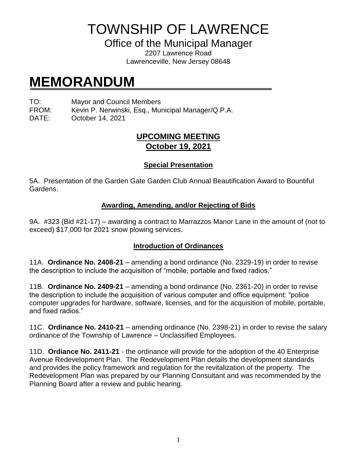TOWNSHIP OF LAWRENCE

Office of the Municipal Manager

2207 Lawrence Road Lawrenceville, New Jersey 08648

# **MEMORANDUM**

TO: Mayor and Council Members

FROM: Kevin P. Nerwinski, Esq., Municipal Manager/Q.P.A.

DATE: October 14, 2021

# **UPCOMING MEETING October 19, 2021**

## **Special Presentation**

5A. Presentation of the Garden Gate Garden Club Annual Beautification Award to Bountiful Gardens.

### **Awarding, Amending, and/or Rejecting of Bids**

9A. #323 (Bid #21-17) – awarding a contract to Marrazzos Manor Lane in the amount of (not to exceed) \$17,000 for 2021 snow plowing services.

### **Introduction of Ordinances**

11A. **Ordinance No. 2408-21** – amending a bond ordinance (No. 2329-19) in order to revise the description to include the acquisition of "mobile, portable and fixed radios."

11B. **Ordinance No. 2409-21** – amending a bond ordinance (No. 2361-20) in order to revise the description to include the acquisition of various computer and office equipment: "police computer upgrades for hardware, software, licenses, and for the acquisition of mobile, portable, and fixed radios."

11C. **Ordinance No. 2410-21** – amending ordinance (No. 2398-21) in order to revise the salary ordinance of the Township of Lawrence – Unclassified Employees.

11D. **Ordiance No. 2411-21** - the ordinance will provide for the adoption of the 40 Enterprise Avenue Redevelopment Plan. The Redevelopment Plan details the development standards and provides the policy framework and regulation for the revitalization of the property. The Redevelopment Plan was prepared by our Planning Consultant and was recommended by the Planning Board after a review and public hearing.